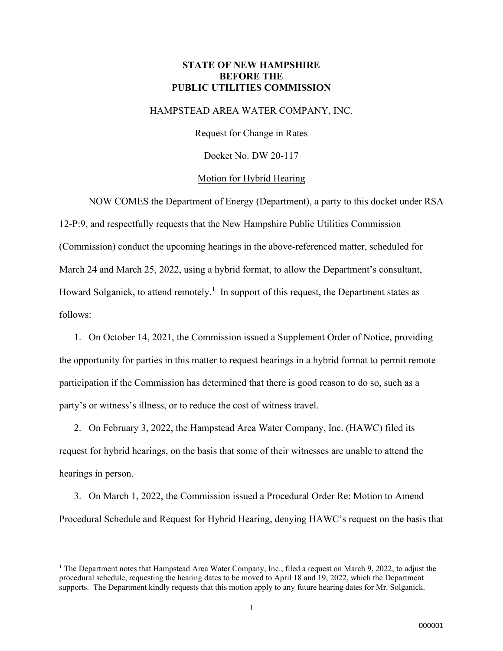### **STATE OF NEW HAMPSHIRE BEFORE THE PUBLIC UTILITIES COMMISSION**

#### HAMPSTEAD AREA WATER COMPANY, INC.

Request for Change in Rates

Docket No. DW 20-117

#### Motion for Hybrid Hearing

NOW COMES the Department of Energy (Department), a party to this docket under RSA 12-P:9, and respectfully requests that the New Hampshire Public Utilities Commission (Commission) conduct the upcoming hearings in the above-referenced matter, scheduled for March 24 and March 25, 2022, using a hybrid format, to allow the Department's consultant, Howard Solganick, to attend remotely.<sup>1</sup> In support of this request, the Department states as follows:

1. On October 14, 2021, the Commission issued a Supplement Order of Notice, providing the opportunity for parties in this matter to request hearings in a hybrid format to permit remote participation if the Commission has determined that there is good reason to do so, such as a party's or witness's illness, or to reduce the cost of witness travel.

2. On February 3, 2022, the Hampstead Area Water Company, Inc. (HAWC) filed its request for hybrid hearings, on the basis that some of their witnesses are unable to attend the hearings in person.

3. On March 1, 2022, the Commission issued a Procedural Order Re: Motion to Amend Procedural Schedule and Request for Hybrid Hearing, denying HAWC's request on the basis that

<sup>&</sup>lt;sup>1</sup> The Department notes that Hampstead Area Water Company, Inc., filed a request on March 9, 2022, to adjust the procedural schedule, requesting the hearing dates to be moved to April 18 and 19, 2022, which the Department supports. The Department kindly requests that this motion apply to any future hearing dates for Mr. Solganick.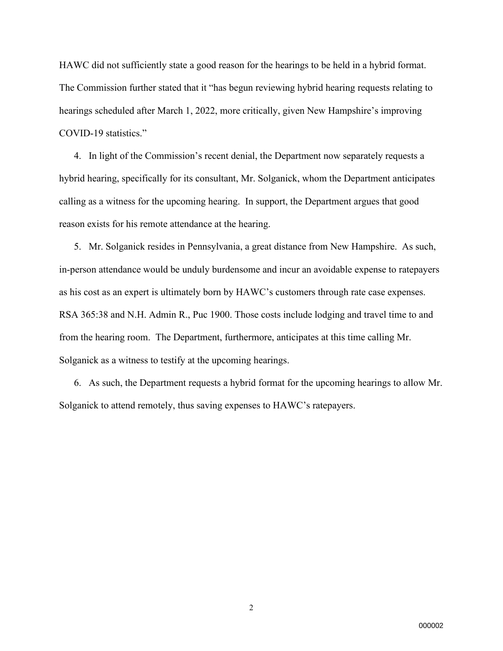HAWC did not sufficiently state a good reason for the hearings to be held in a hybrid format. The Commission further stated that it "has begun reviewing hybrid hearing requests relating to hearings scheduled after March 1, 2022, more critically, given New Hampshire's improving COVID-19 statistics."

4. In light of the Commission's recent denial, the Department now separately requests a hybrid hearing, specifically for its consultant, Mr. Solganick, whom the Department anticipates calling as a witness for the upcoming hearing. In support, the Department argues that good reason exists for his remote attendance at the hearing.

5. Mr. Solganick resides in Pennsylvania, a great distance from New Hampshire. As such, in-person attendance would be unduly burdensome and incur an avoidable expense to ratepayers as his cost as an expert is ultimately born by HAWC's customers through rate case expenses. RSA 365:38 and N.H. Admin R., Puc 1900. Those costs include lodging and travel time to and from the hearing room. The Department, furthermore, anticipates at this time calling Mr. Solganick as a witness to testify at the upcoming hearings.

6. As such, the Department requests a hybrid format for the upcoming hearings to allow Mr. Solganick to attend remotely, thus saving expenses to HAWC's ratepayers.